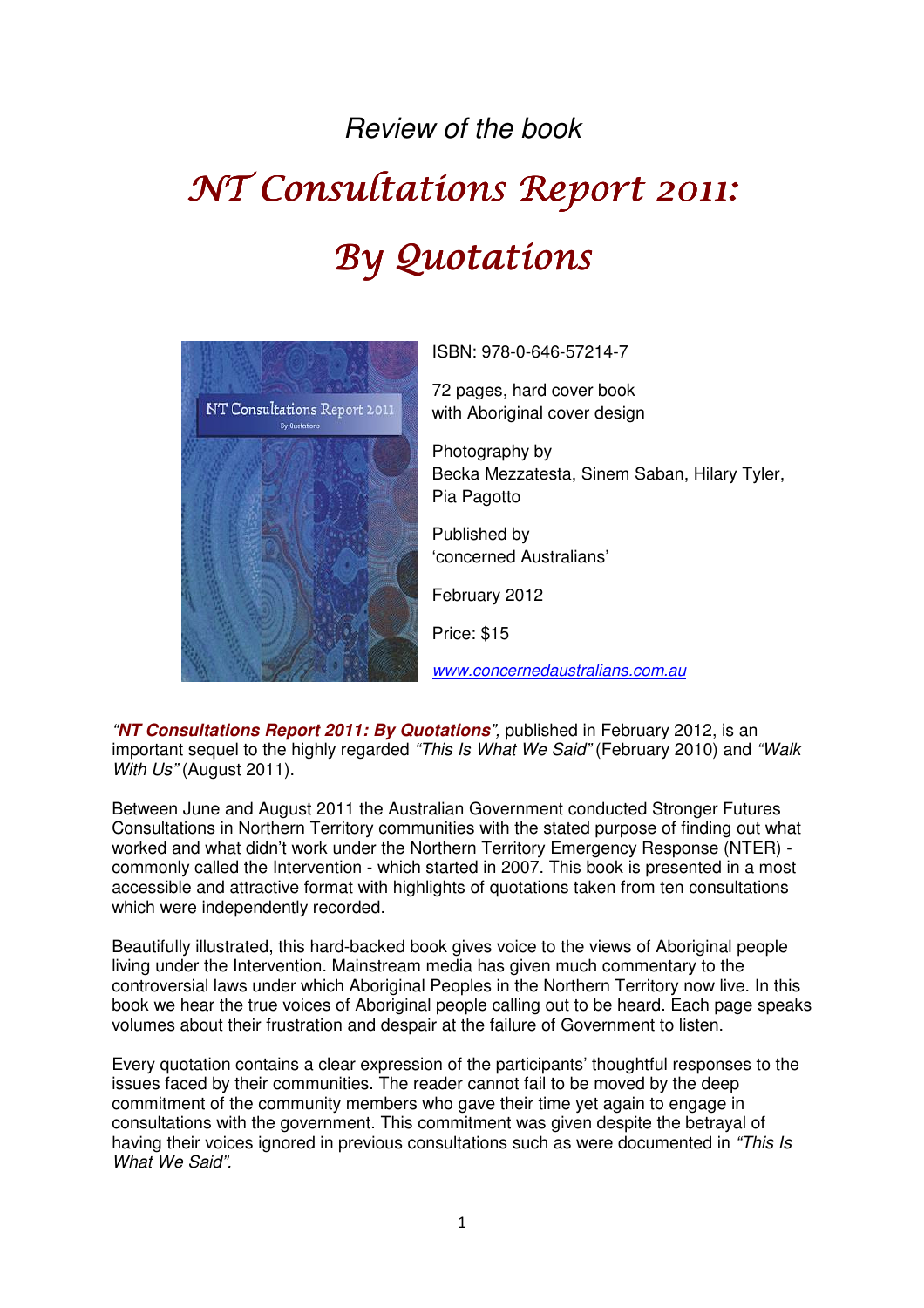## Review of the book

## NT Consultations Report 2011: By Quotations



ISBN: 978-0-646-57214-7

72 pages, hard cover book with Aboriginal cover design

Photography by Becka Mezzatesta, Sinem Saban, Hilary Tyler, Pia Pagotto

Published by 'concerned Australians'

February 2012

Price: \$15

www.concernedaustralians.com.au

"**NT Consultations Report 2011: By Quotations**", published in February 2012, is an important sequel to the highly regarded "This Is What We Said" (February 2010) and "Walk With Us" (August 2011).

Between June and August 2011 the Australian Government conducted Stronger Futures Consultations in Northern Territory communities with the stated purpose of finding out what worked and what didn't work under the Northern Territory Emergency Response (NTER) commonly called the Intervention - which started in 2007. This book is presented in a most accessible and attractive format with highlights of quotations taken from ten consultations which were independently recorded.

Beautifully illustrated, this hard-backed book gives voice to the views of Aboriginal people living under the Intervention. Mainstream media has given much commentary to the controversial laws under which Aboriginal Peoples in the Northern Territory now live. In this book we hear the true voices of Aboriginal people calling out to be heard. Each page speaks volumes about their frustration and despair at the failure of Government to listen.

Every quotation contains a clear expression of the participants' thoughtful responses to the issues faced by their communities. The reader cannot fail to be moved by the deep commitment of the community members who gave their time yet again to engage in consultations with the government. This commitment was given despite the betrayal of having their voices ignored in previous consultations such as were documented in "This Is" What We Said".